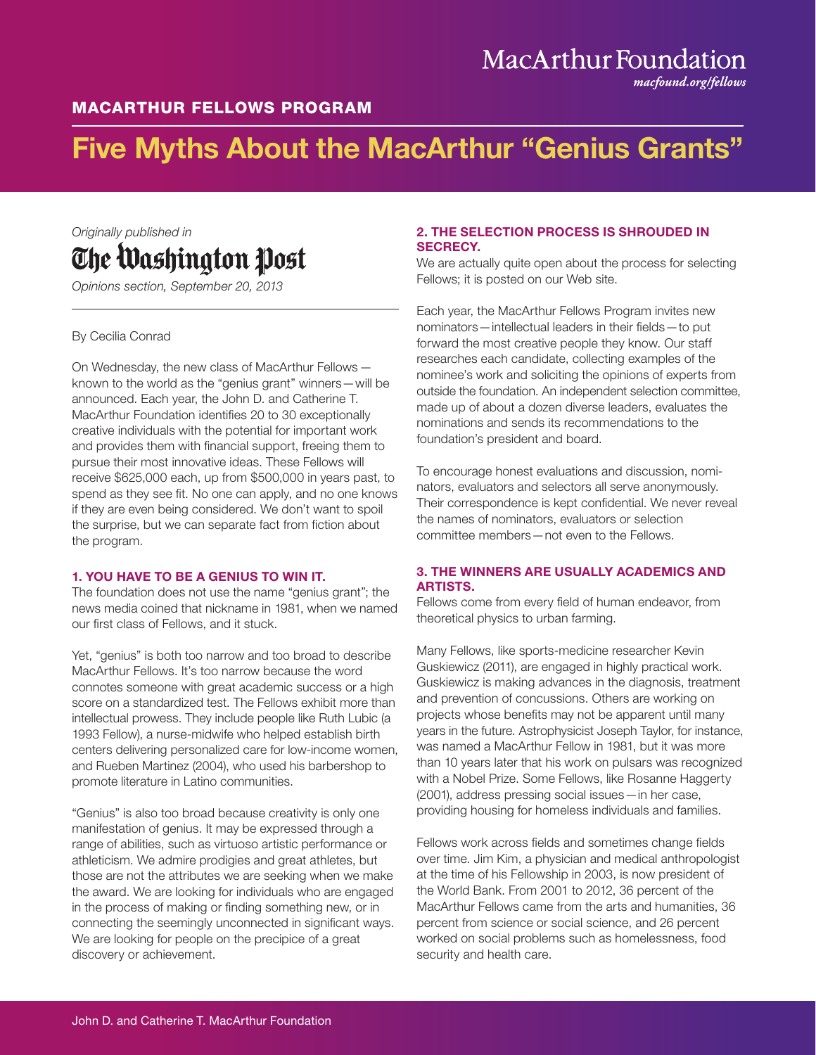## MacArthur Foundation

*macfound.org/fellows*

### MACARTHUR FELLOWS PROGRAM

# Five Myths About the MacArthur "Genius Grants"

## *Originally published in* The Washington Post

*Opinions section, September 20, 2013*

#### By Cecilia Conrad

On Wednesday, the new class of MacArthur Fellows known to the world as the "genius grant" winners—will be announced. Each year, the John D. and Catherine T. MacArthur Foundation identifies 20 to 30 exceptionally creative individuals with the potential for important work and provides them with financial support, freeing them to pursue their most innovative ideas. These Fellows will receive \$625,000 each, up from \$500,000 in years past, to spend as they see fit. No one can apply, and no one knows if they are even being considered. We don't want to spoil the surprise, but we can separate fact from fiction about the program.

#### 1. YOU HAVE TO BE A GENIUS TO WIN IT.

The foundation does not use the name "genius grant"; the news media coined that nickname in 1981, when we named our first class of Fellows, and it stuck.

Yet, "genius" is both too narrow and too broad to describe MacArthur Fellows. It's too narrow because the word connotes someone with great academic success or a high score on a standardized test. The Fellows exhibit more than intellectual prowess. They include people like Ruth Lubic (a 1993 Fellow), a nurse-midwife who helped establish birth centers delivering personalized care for low-income women, and Rueben Martinez (2004), who used his barbershop to promote literature in Latino communities.

"Genius" is also too broad because creativity is only one manifestation of genius. It may be expressed through a range of abilities, such as virtuoso artistic performance or athleticism. We admire prodigies and great athletes, but those are not the attributes we are seeking when we make the award. We are looking for individuals who are engaged in the process of making or finding something new, or in connecting the seemingly unconnected in significant ways. We are looking for people on the precipice of a great discovery or achievement.

#### 2. THE SELECTION PROCESS IS SHROUDED IN SECRECY.

We are actually quite open about the process for selecting Fellows; it is posted on our Web site.

Each year, the MacArthur Fellows Program invites new nominators—intellectual leaders in their fields—to put forward the most creative people they know. Our staff researches each candidate, collecting examples of the nominee's work and soliciting the opinions of experts from outside the foundation. An independent selection committee, made up of about a dozen diverse leaders, evaluates the nominations and sends its recommendations to the foundation's president and board.

To encourage honest evaluations and discussion, nominators, evaluators and selectors all serve anonymously. Their correspondence is kept confidential. We never reveal the names of nominators, evaluators or selection committee members—not even to the Fellows.

#### 3. THE WINNERS ARE USUALLY ACADEMICS AND ARTISTS.

Fellows come from every field of human endeavor, from theoretical physics to urban farming.

Many Fellows, like sports-medicine researcher Kevin Guskiewicz (2011), are engaged in highly practical work. Guskiewicz is making advances in the diagnosis, treatment and prevention of concussions. Others are working on projects whose benefits may not be apparent until many years in the future. Astrophysicist Joseph Taylor, for instance, was named a MacArthur Fellow in 1981, but it was more than 10 years later that his work on pulsars was recognized with a Nobel Prize. Some Fellows, like Rosanne Haggerty (2001), address pressing social issues—in her case, providing housing for homeless individuals and families.

Fellows work across fields and sometimes change fields over time. Jim Kim, a physician and medical anthropologist at the time of his Fellowship in 2003, is now president of the World Bank. From 2001 to 2012, 36 percent of the MacArthur Fellows came from the arts and humanities, 36 percent from science or social science, and 26 percent worked on social problems such as homelessness, food security and health care.